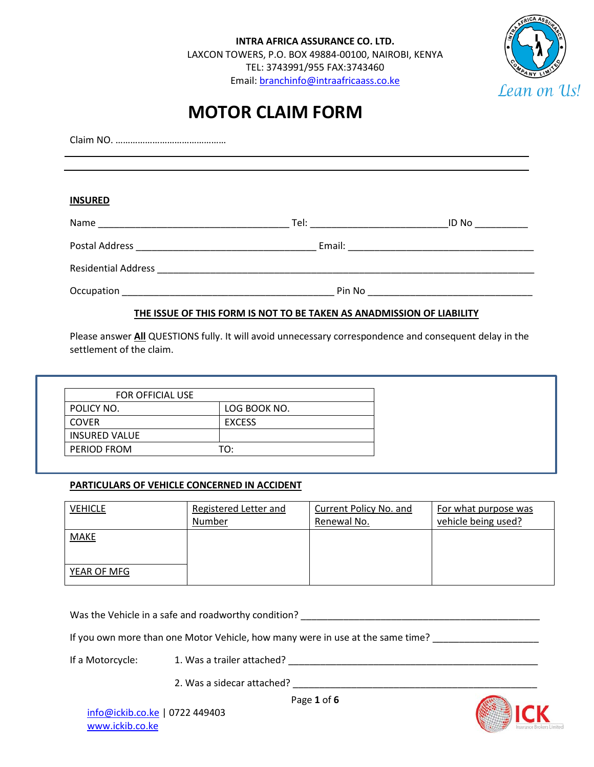**INTRA AFRICA ASSURANCE CO. LTD.** LAXCON TOWERS, P.O. BOX 49884-00100, NAIROBI, KENYA TEL: 3743991/955 FAX:3743460 Email[: branchinfo@intraafricaass.co.ke](mailto:branchinfo@intraafricaass.co.ke)



# **MOTOR CLAIM FORM**

Claim NO. ……………………………………… **INSURED** Name \_\_\_\_\_\_\_\_\_\_\_\_\_\_\_\_\_\_\_\_\_\_\_\_\_\_\_\_\_\_\_\_\_\_\_\_ Tel: \_\_\_\_\_\_\_\_\_\_\_\_\_\_\_\_\_\_\_\_\_\_\_\_\_\_ID No \_\_\_\_\_\_\_\_\_\_ Postal Address \_\_\_\_\_\_\_\_\_\_\_\_\_\_\_\_\_\_\_\_\_\_\_\_\_\_\_\_\_\_\_\_\_\_ Email: \_\_\_\_\_\_\_\_\_\_\_\_\_\_\_\_\_\_\_\_\_\_\_\_\_\_\_\_\_\_\_\_\_\_\_

Residential Address \_\_\_\_\_\_\_\_\_\_\_\_\_\_\_\_\_\_\_\_\_\_\_\_\_\_\_\_\_\_\_\_\_\_\_\_\_\_\_\_\_\_\_\_\_\_\_\_\_\_\_\_\_\_\_\_\_\_\_\_\_\_\_\_\_\_\_\_\_\_\_

Occupation \_\_\_\_\_\_\_\_\_\_\_\_\_\_\_\_\_\_\_\_\_\_\_\_\_\_\_\_\_\_\_\_\_\_\_\_\_\_\_\_ Pin No \_\_\_\_\_\_\_\_\_\_\_\_\_\_\_\_\_\_\_\_\_\_\_\_\_\_\_\_\_\_\_

## **THE ISSUE OF THIS FORM IS NOT TO BE TAKEN AS ANADMISSION OF LIABILITY**

Please answer **All** QUESTIONS fully. It will avoid unnecessary correspondence and consequent delay in the settlement of the claim.

| FOR OFFICIAL USE     |               |
|----------------------|---------------|
| POLICY NO.           | LOG BOOK NO.  |
| <b>COVER</b>         | <b>EXCESS</b> |
| <b>INSURED VALUE</b> |               |
| PERIOD FROM          | T∩∙           |

#### **PARTICULARS OF VEHICLE CONCERNED IN ACCIDENT**

| <b>VEHICLE</b> | Registered Letter and<br>Number | Current Policy No. and<br>Renewal No. | For what purpose was<br>vehicle being used? |
|----------------|---------------------------------|---------------------------------------|---------------------------------------------|
| <b>MAKE</b>    |                                 |                                       |                                             |
| YEAR OF MFG    |                                 |                                       |                                             |

Was the Vehicle in a safe and roadworthy condition? **Was allowed a condition** was the vehicle in a safe and roadworthy condition?

If you own more than one Motor Vehicle, how many were in use at the same time? \_\_\_\_\_\_\_\_\_\_\_\_\_\_\_\_\_\_\_\_\_

If a Motorcycle: 1. Was a trailer attached? \_\_\_\_\_\_\_\_\_\_\_\_\_\_\_\_\_\_\_\_\_\_\_\_\_\_\_\_\_\_\_\_\_\_\_\_\_\_\_\_\_\_\_\_\_\_\_

2. Was a sidecar attached? \_\_\_\_\_\_\_\_\_\_\_\_\_\_\_\_\_\_\_\_\_\_\_\_\_\_\_\_\_\_\_\_\_\_\_\_\_\_\_\_\_\_\_\_\_\_

Page **1** of **6**

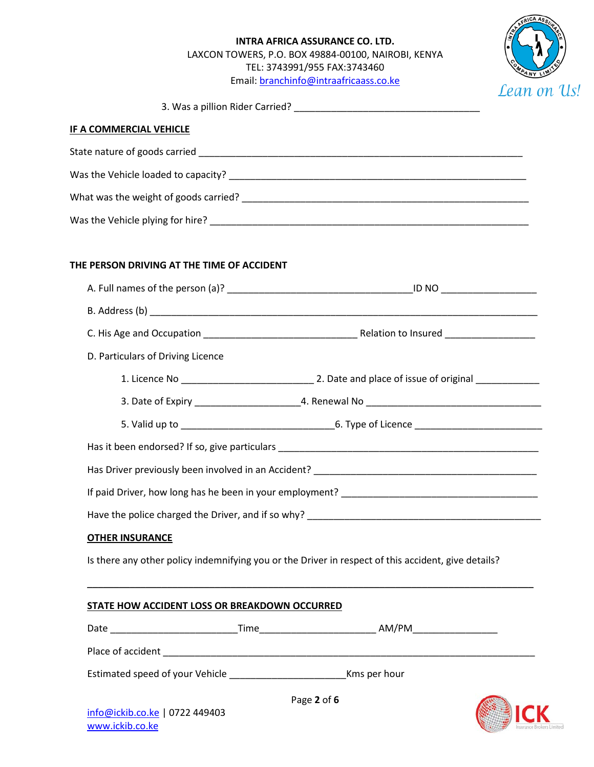## **INTRA AFRICA ASSURANCE CO. LTD.** LAXCON TOWERS, P.O. BOX 49884-00100, NAIROBI, KENYA TEL: 3743991/955 FAX:3743460 Email[: branchinfo@intraafricaass.co.ke](mailto:branchinfo@intraafricaass.co.ke)



3. Was a pillion Rider Carried? \_\_\_\_\_\_\_\_\_\_\_\_\_\_\_\_\_\_\_\_\_\_\_\_\_\_\_\_\_\_\_\_\_\_\_

#### **IF A COMMERCIAL VEHICLE**

| State nature of goods carried         |
|---------------------------------------|
| Was the Vehicle loaded to capacity?   |
| What was the weight of goods carried? |
| Was the Vehicle plying for hire?      |

#### **THE PERSON DRIVING AT THE TIME OF ACCIDENT**

| D. Particulars of Driving Licence                 |                                                                                                     |  |
|---------------------------------------------------|-----------------------------------------------------------------------------------------------------|--|
|                                                   |                                                                                                     |  |
|                                                   |                                                                                                     |  |
|                                                   |                                                                                                     |  |
|                                                   |                                                                                                     |  |
|                                                   |                                                                                                     |  |
|                                                   |                                                                                                     |  |
|                                                   |                                                                                                     |  |
| <b>OTHER INSURANCE</b>                            |                                                                                                     |  |
|                                                   | Is there any other policy indemnifying you or the Driver in respect of this accident, give details? |  |
|                                                   |                                                                                                     |  |
| STATE HOW ACCIDENT LOSS OR BREAKDOWN OCCURRED     |                                                                                                     |  |
|                                                   |                                                                                                     |  |
|                                                   |                                                                                                     |  |
|                                                   |                                                                                                     |  |
| info@ickib.co.ke   0722 449403<br>www.ickib.co.ke | Page 2 of 6                                                                                         |  |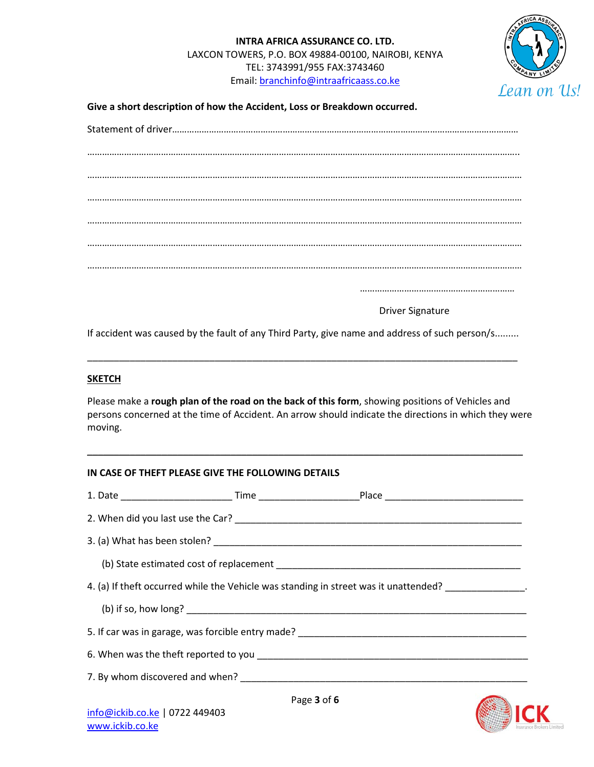

**Give a short description of how the Accident, Loss or Breakdown occurred.**

Driver Signature

………………………………………………………

If accident was caused by the fault of any Third Party, give name and address of such person/s.........

\_\_\_\_\_\_\_\_\_\_\_\_\_\_\_\_\_\_\_\_\_\_\_\_\_\_\_\_\_\_\_\_\_\_\_\_\_\_\_\_\_\_\_\_\_\_\_\_\_\_\_\_\_\_\_\_\_\_\_\_\_\_\_\_\_\_\_\_\_\_\_\_\_\_\_\_\_\_\_\_\_

#### **SKETCH**

Please make a **rough plan of the road on the back of this form**, showing positions of Vehicles and persons concerned at the time of Accident. An arrow should indicate the directions in which they were moving.

\_\_\_\_\_\_\_\_\_\_\_\_\_\_\_\_\_\_\_\_\_\_\_\_\_\_\_\_\_\_\_\_\_\_\_\_\_\_\_\_\_\_\_\_\_\_\_\_\_\_\_\_\_\_\_\_\_\_\_\_\_\_\_\_\_\_\_\_\_\_\_\_\_\_\_\_\_\_\_\_\_\_

| IN CASE OF THEFT PLEASE GIVE THE FOLLOWING DETAILS                                   |             |  |
|--------------------------------------------------------------------------------------|-------------|--|
|                                                                                      |             |  |
|                                                                                      |             |  |
|                                                                                      |             |  |
|                                                                                      |             |  |
| 4. (a) If theft occurred while the Vehicle was standing in street was it unattended? |             |  |
|                                                                                      |             |  |
|                                                                                      |             |  |
|                                                                                      |             |  |
|                                                                                      |             |  |
|                                                                                      | Page 3 of 6 |  |
| info@ickib.co.ke   0722 449403                                                       |             |  |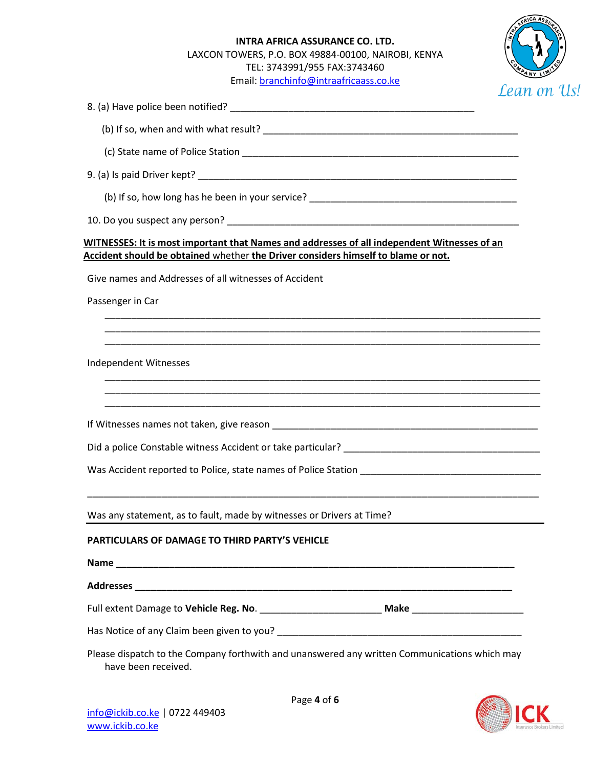# **INTRA AFRICA ASSURANCE CO. LTD.** LAXCON TOWERS, P.O. BOX 49884-00100, NAIROBI, KENYA TEL: 3743991/955 FAX:3743460 Email[: branchinfo@intraafricaass.co.ke](mailto:branchinfo@intraafricaass.co.ke)



| леат с                                                                                                                                                                           |
|----------------------------------------------------------------------------------------------------------------------------------------------------------------------------------|
|                                                                                                                                                                                  |
|                                                                                                                                                                                  |
|                                                                                                                                                                                  |
|                                                                                                                                                                                  |
|                                                                                                                                                                                  |
|                                                                                                                                                                                  |
| WITNESSES: It is most important that Names and addresses of all independent Witnesses of an<br>Accident should be obtained whether the Driver considers himself to blame or not. |
| Give names and Addresses of all witnesses of Accident                                                                                                                            |
| Passenger in Car                                                                                                                                                                 |
|                                                                                                                                                                                  |
|                                                                                                                                                                                  |
| Independent Witnesses                                                                                                                                                            |
|                                                                                                                                                                                  |
|                                                                                                                                                                                  |
|                                                                                                                                                                                  |
|                                                                                                                                                                                  |
|                                                                                                                                                                                  |
| Was any statement, as to fault, made by witnesses or Drivers at Time?                                                                                                            |
| PARTICULARS OF DAMAGE TO THIRD PARTY'S VEHICLE                                                                                                                                   |
|                                                                                                                                                                                  |
|                                                                                                                                                                                  |
|                                                                                                                                                                                  |
|                                                                                                                                                                                  |
| Please dispatch to the Company forthwith and unanswered any written Communications which may<br>have been received.                                                              |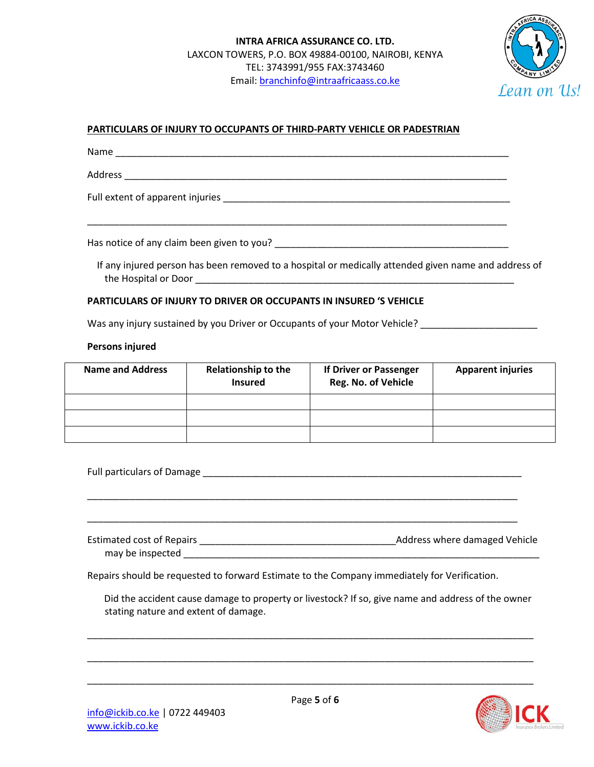

## **PARTICULARS OF INJURY TO OCCUPANTS OF THIRD-PARTY VEHICLE OR PADESTRIAN**

Name \_\_\_\_\_\_\_\_\_\_\_\_\_\_\_\_\_\_\_\_\_\_\_\_\_\_\_\_\_\_\_\_\_\_\_\_\_\_\_\_\_\_\_\_\_\_\_\_\_\_\_\_\_\_\_\_\_\_\_\_\_\_\_\_\_\_\_\_\_\_\_\_\_\_

Address \_\_\_\_\_\_\_\_\_\_\_\_\_\_\_\_\_\_\_\_\_\_\_\_\_\_\_\_\_\_\_\_\_\_\_\_\_\_\_\_\_\_\_\_\_\_\_\_\_\_\_\_\_\_\_\_\_\_\_\_\_\_\_\_\_\_\_\_\_\_\_\_

Full extent of apparent injuries \_\_\_\_\_\_\_\_\_\_\_\_\_\_\_\_\_\_\_\_\_\_\_\_\_\_\_\_\_\_\_\_\_\_\_\_\_\_\_\_\_\_\_\_\_\_\_\_\_\_\_\_\_\_

Has notice of any claim been given to you? \_\_\_\_\_\_\_\_\_\_\_\_\_\_\_\_\_\_\_\_\_\_\_\_\_\_\_\_\_\_\_\_\_\_\_\_\_\_\_\_\_\_\_\_

 If any injured person has been removed to a hospital or medically attended given name and address of the Hospital or Door **Latter and Separate Secure 20** 

\_\_\_\_\_\_\_\_\_\_\_\_\_\_\_\_\_\_\_\_\_\_\_\_\_\_\_\_\_\_\_\_\_\_\_\_\_\_\_\_\_\_\_\_\_\_\_\_\_\_\_\_\_\_\_\_\_\_\_\_\_\_\_\_\_\_\_\_\_\_\_\_\_\_\_\_\_\_\_

#### **PARTICULARS OF INJURY TO DRIVER OR OCCUPANTS IN INSURED 'S VEHICLE**

Was any injury sustained by you Driver or Occupants of your Motor Vehicle?

#### **Persons injured**

| <b>Name and Address</b> | <b>Relationship to the</b><br><b>Insured</b> | If Driver or Passenger<br>Reg. No. of Vehicle | <b>Apparent injuries</b> |
|-------------------------|----------------------------------------------|-----------------------------------------------|--------------------------|
|                         |                                              |                                               |                          |
|                         |                                              |                                               |                          |
|                         |                                              |                                               |                          |

Full particulars of Damage \_\_\_\_\_\_\_\_\_\_\_\_\_\_\_\_\_\_\_\_\_\_\_\_\_\_\_\_\_\_\_\_\_\_\_\_\_\_\_\_\_\_\_\_\_\_\_\_\_\_\_\_\_\_\_\_\_\_\_\_

\_\_\_\_\_\_\_\_\_\_\_\_\_\_\_\_\_\_\_\_\_\_\_\_\_\_\_\_\_\_\_\_\_\_\_\_\_\_\_\_\_\_\_\_\_\_\_\_\_\_\_\_\_\_\_\_\_\_\_\_\_\_\_\_\_\_\_\_\_\_\_\_\_\_\_\_\_\_\_\_\_

\_\_\_\_\_\_\_\_\_\_\_\_\_\_\_\_\_\_\_\_\_\_\_\_\_\_\_\_\_\_\_\_\_\_\_\_\_\_\_\_\_\_\_\_\_\_\_\_\_\_\_\_\_\_\_\_\_\_\_\_\_\_\_\_\_\_\_\_\_\_\_\_\_\_\_\_\_\_\_\_\_

| Estimated cost of Repairs | <b>Address where damaged Vehicle</b> |  |
|---------------------------|--------------------------------------|--|
| may be inspected          |                                      |  |

Repairs should be requested to forward Estimate to the Company immediately for Verification.

Did the accident cause damage to property or livestock? If so, give name and address of the owner stating nature and extent of damage.

\_\_\_\_\_\_\_\_\_\_\_\_\_\_\_\_\_\_\_\_\_\_\_\_\_\_\_\_\_\_\_\_\_\_\_\_\_\_\_\_\_\_\_\_\_\_\_\_\_\_\_\_\_\_\_\_\_\_\_\_\_\_\_\_\_\_\_\_\_\_\_\_\_\_\_\_\_\_\_\_\_\_\_\_

\_\_\_\_\_\_\_\_\_\_\_\_\_\_\_\_\_\_\_\_\_\_\_\_\_\_\_\_\_\_\_\_\_\_\_\_\_\_\_\_\_\_\_\_\_\_\_\_\_\_\_\_\_\_\_\_\_\_\_\_\_\_\_\_\_\_\_\_\_\_\_\_\_\_\_\_\_\_\_\_\_\_\_\_

\_\_\_\_\_\_\_\_\_\_\_\_\_\_\_\_\_\_\_\_\_\_\_\_\_\_\_\_\_\_\_\_\_\_\_\_\_\_\_\_\_\_\_\_\_\_\_\_\_\_\_\_\_\_\_\_\_\_\_\_\_\_\_\_\_\_\_\_\_\_\_\_\_\_\_\_\_\_\_\_\_\_\_\_